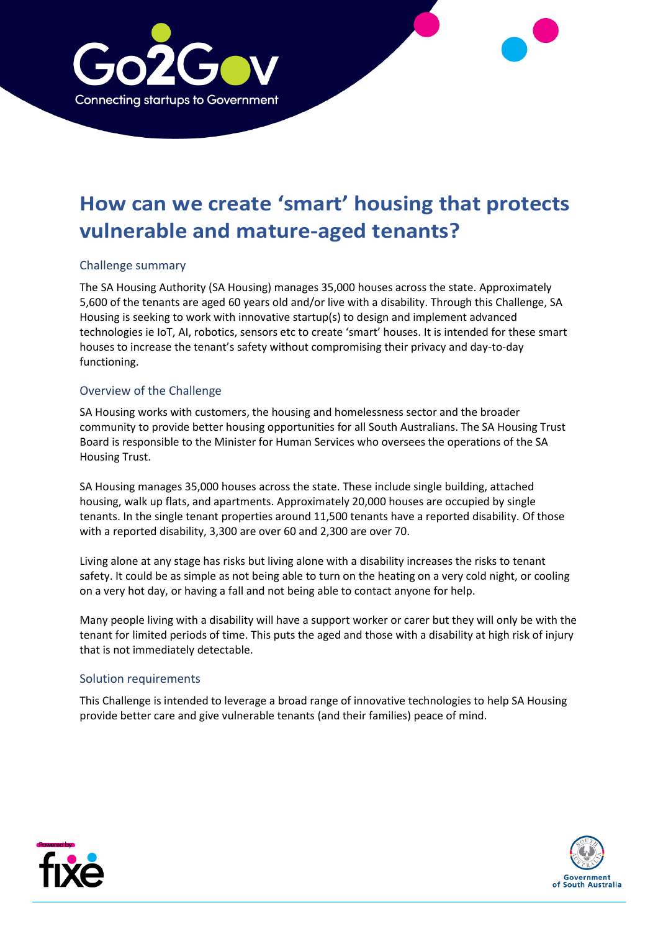

# **How can we create 'smart' housing that protects vulnerable and mature-aged tenants?**

# Challenge summary

The SA Housing Authority (SA Housing) manages 35,000 houses across the state. Approximately 5,600 of the tenants are aged 60 years old and/or live with a disability. Through this Challenge, SA Housing is seeking to work with innovative startup(s) to design and implement advanced technologies ie IoT, AI, robotics, sensors etc to create 'smart' houses. It is intended for these smart houses to increase the tenant's safety without compromising their privacy and day-to-day functioning.

# Overview of the Challenge

SA Housing works with customers, the housing and homelessness sector and the broader community to provide better housing opportunities for all South Australians. The SA Housing Trust Board is responsible to the Minister for Human Services who oversees the operations of the SA Housing Trust.

SA Housing manages 35,000 houses across the state. These include single building, attached housing, walk up flats, and apartments. Approximately 20,000 houses are occupied by single tenants. In the single tenant properties around 11,500 tenants have a reported disability. Of those with a reported disability, 3,300 are over 60 and 2,300 are over 70.

Living alone at any stage has risks but living alone with a disability increases the risks to tenant safety. It could be as simple as not being able to turn on the heating on a very cold night, or cooling on a very hot day, or having a fall and not being able to contact anyone for help.

Many people living with a disability will have a support worker or carer but they will only be with the tenant for limited periods of time. This puts the aged and those with a disability at high risk of injury that is not immediately detectable.

### Solution requirements

This Challenge is intended to leverage a broad range of innovative technologies to help SA Housing provide better care and give vulnerable tenants (and their families) peace of mind.